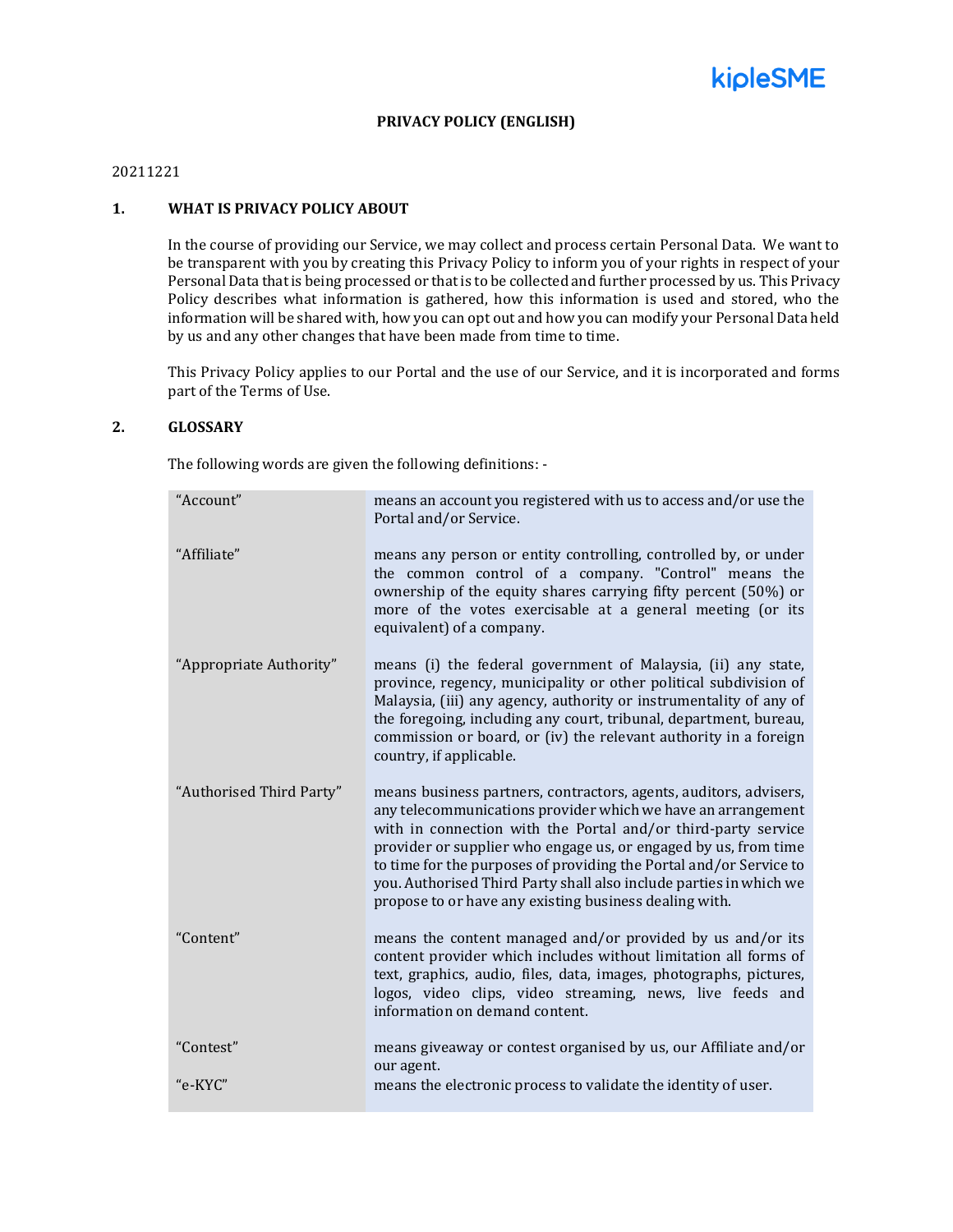

#### **PRIVACY POLICY (ENGLISH)**

# 20211221

# **1. WHAT IS PRIVACY POLICY ABOUT**

In the course of providing our Service, we may collect and process certain Personal Data. We want to be transparent with you by creating this Privacy Policy to inform you of your rights in respect of your Personal Data that is being processed or that is to be collected and further processed by us. This Privacy Policy describes what information is gathered, how this information is used and stored, who the information will be shared with, how you can opt out and how you can modify your Personal Data held by us and any other changes that have been made from time to time.

This Privacy Policy applies to our Portal and the use of our Service, and it is incorporated and forms part of the Terms of Use.

# **2. GLOSSARY**

The following words are given the following definitions: -

| "Account"                | means an account you registered with us to access and/or use the<br>Portal and/or Service.                                                                                                                                                                                                                                                                                                                                                                                  |
|--------------------------|-----------------------------------------------------------------------------------------------------------------------------------------------------------------------------------------------------------------------------------------------------------------------------------------------------------------------------------------------------------------------------------------------------------------------------------------------------------------------------|
| "Affiliate"              | means any person or entity controlling, controlled by, or under<br>the common control of a company. "Control" means the<br>ownership of the equity shares carrying fifty percent (50%) or<br>more of the votes exercisable at a general meeting (or its<br>equivalent) of a company.                                                                                                                                                                                        |
| "Appropriate Authority"  | means (i) the federal government of Malaysia, (ii) any state,<br>province, regency, municipality or other political subdivision of<br>Malaysia, (iii) any agency, authority or instrumentality of any of<br>the foregoing, including any court, tribunal, department, bureau,<br>commission or board, or (iv) the relevant authority in a foreign<br>country, if applicable.                                                                                                |
| "Authorised Third Party" | means business partners, contractors, agents, auditors, advisers,<br>any telecommunications provider which we have an arrangement<br>with in connection with the Portal and/or third-party service<br>provider or supplier who engage us, or engaged by us, from time<br>to time for the purposes of providing the Portal and/or Service to<br>you. Authorised Third Party shall also include parties in which we<br>propose to or have any existing business dealing with. |
| "Content"                | means the content managed and/or provided by us and/or its<br>content provider which includes without limitation all forms of<br>text, graphics, audio, files, data, images, photographs, pictures,<br>logos, video clips, video streaming, news, live feeds and<br>information on demand content.                                                                                                                                                                          |
| "Contest"                | means giveaway or contest organised by us, our Affiliate and/or<br>our agent.                                                                                                                                                                                                                                                                                                                                                                                               |
| "e-KYC"                  | means the electronic process to validate the identity of user.                                                                                                                                                                                                                                                                                                                                                                                                              |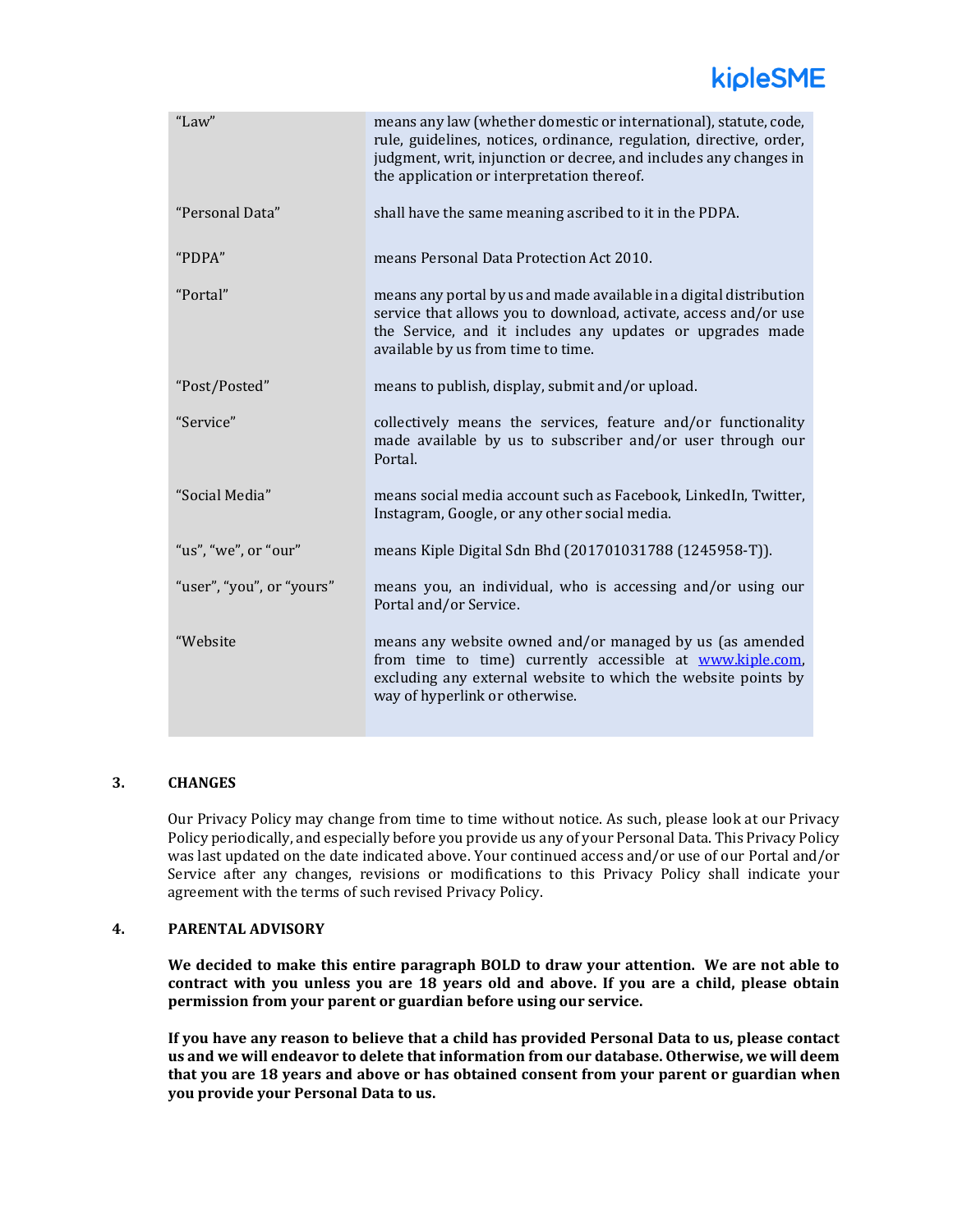# kipleSME

| "Law"                     | means any law (whether domestic or international), statute, code,<br>rule, guidelines, notices, ordinance, regulation, directive, order,<br>judgment, writ, injunction or decree, and includes any changes in<br>the application or interpretation thereof. |
|---------------------------|-------------------------------------------------------------------------------------------------------------------------------------------------------------------------------------------------------------------------------------------------------------|
| "Personal Data"           | shall have the same meaning ascribed to it in the PDPA.                                                                                                                                                                                                     |
| "PDPA"                    | means Personal Data Protection Act 2010.                                                                                                                                                                                                                    |
| "Portal"                  | means any portal by us and made available in a digital distribution<br>service that allows you to download, activate, access and/or use<br>the Service, and it includes any updates or upgrades made<br>available by us from time to time.                  |
| "Post/Posted"             | means to publish, display, submit and/or upload.                                                                                                                                                                                                            |
| "Service"                 | collectively means the services, feature and/or functionality<br>made available by us to subscriber and/or user through our<br>Portal.                                                                                                                      |
| "Social Media"            | means social media account such as Facebook, LinkedIn, Twitter,<br>Instagram, Google, or any other social media.                                                                                                                                            |
| "us", "we", or "our"      | means Kiple Digital Sdn Bhd (201701031788 (1245958-T)).                                                                                                                                                                                                     |
| "user", "you", or "yours" | means you, an individual, who is accessing and/or using our<br>Portal and/or Service.                                                                                                                                                                       |
| "Website                  | means any website owned and/or managed by us (as amended<br>from time to time) currently accessible at www.kiple.com,<br>excluding any external website to which the website points by<br>way of hyperlink or otherwise.                                    |

# **3. CHANGES**

Our Privacy Policy may change from time to time without notice. As such, please look at our Privacy Policy periodically, and especially before you provide us any of your Personal Data. This Privacy Policy was last updated on the date indicated above. Your continued access and/or use of our Portal and/or Service after any changes, revisions or modifications to this Privacy Policy shall indicate your agreement with the terms of such revised Privacy Policy.

# **4. PARENTAL ADVISORY**

**We decided to make this entire paragraph BOLD to draw your attention. We are not able to contract with you unless you are 18 years old and above. If you are a child, please obtain permission from your parent or guardian before using our service.**

**If you have any reason to believe that a child has provided Personal Data to us, please contact us and we will endeavor to delete that information from our database. Otherwise, we will deem that you are 18 years and above or has obtained consent from your parent or guardian when you provide your Personal Data to us.**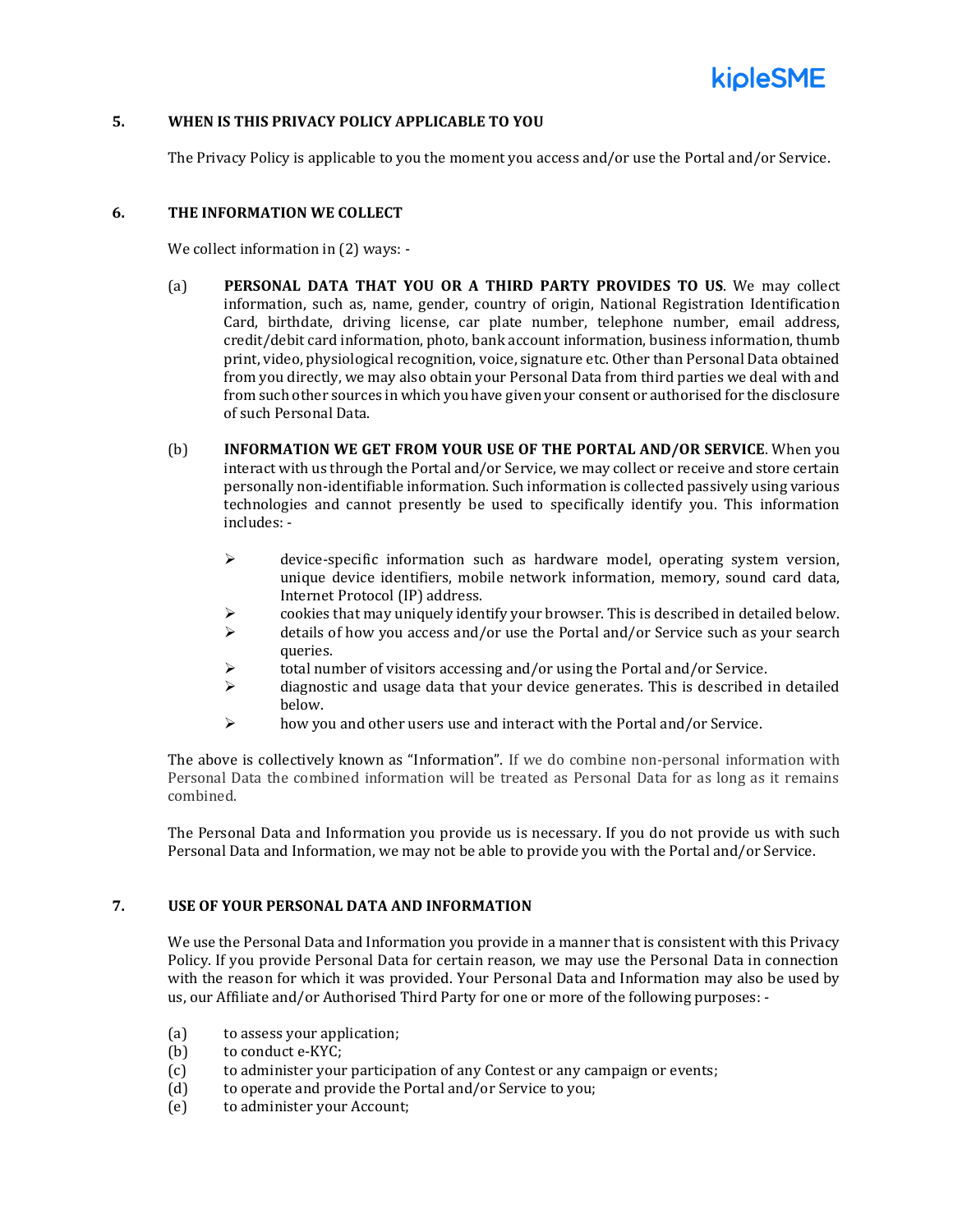

# **5. WHEN IS THIS PRIVACY POLICY APPLICABLE TO YOU**

The Privacy Policy is applicable to you the moment you access and/or use the Portal and/or Service.

#### **6. THE INFORMATION WE COLLECT**

We collect information in (2) ways: -

- (a) **PERSONAL DATA THAT YOU OR A THIRD PARTY PROVIDES TO US**. We may collect information, such as, name, gender, country of origin, National Registration Identification Card, birthdate, driving license, car plate number, telephone number, email address, credit/debit card information, photo, bank account information, business information, thumb print, video, physiological recognition, voice, signature etc. Other than Personal Data obtained from you directly, we may also obtain your Personal Data from third parties we deal with and from such other sources in which you have given your consent or authorised for the disclosure of such Personal Data.
- (b) **INFORMATION WE GET FROM YOUR USE OF THE PORTAL AND/OR SERVICE**. When you interact with us through the Portal and/or Service, we may collect or receive and store certain personally non-identifiable information. Such information is collected passively using various technologies and cannot presently be used to specifically identify you. This information includes: -
	- $\triangleright$  device-specific information such as hardware model, operating system version, unique device identifiers, mobile network information, memory, sound card data, Internet Protocol (IP) address.
	- $\triangleright$  cookies that may uniquely identify your browser. This is described in detailed below.
	- $\triangleright$  details of how you access and/or use the Portal and/or Service such as your search queries.
	- $\triangleright$  total number of visitors accessing and/or using the Portal and/or Service.
	- $\triangleright$  diagnostic and usage data that your device generates. This is described in detailed below.
	- ➢ how you and other users use and interact with the Portal and/or Service.

The above is collectively known as "Information". If we do combine non-personal information with Personal Data the combined information will be treated as Personal Data for as long as it remains combined.

The Personal Data and Information you provide us is necessary. If you do not provide us with such Personal Data and Information, we may not be able to provide you with the Portal and/or Service.

# **7. USE OF YOUR PERSONAL DATA AND INFORMATION**

We use the Personal Data and Information you provide in a manner that is consistent with this Privacy Policy. If you provide Personal Data for certain reason, we may use the Personal Data in connection with the reason for which it was provided. Your Personal Data and Information may also be used by us, our Affiliate and/or Authorised Third Party for one or more of the following purposes: -

- (a) to assess your application;
- (b) to conduct e-KYC;
- (c) to administer your participation of any Contest or any campaign or events;
- (d) to operate and provide the Portal and/or Service to you;
- (e) to administer your Account;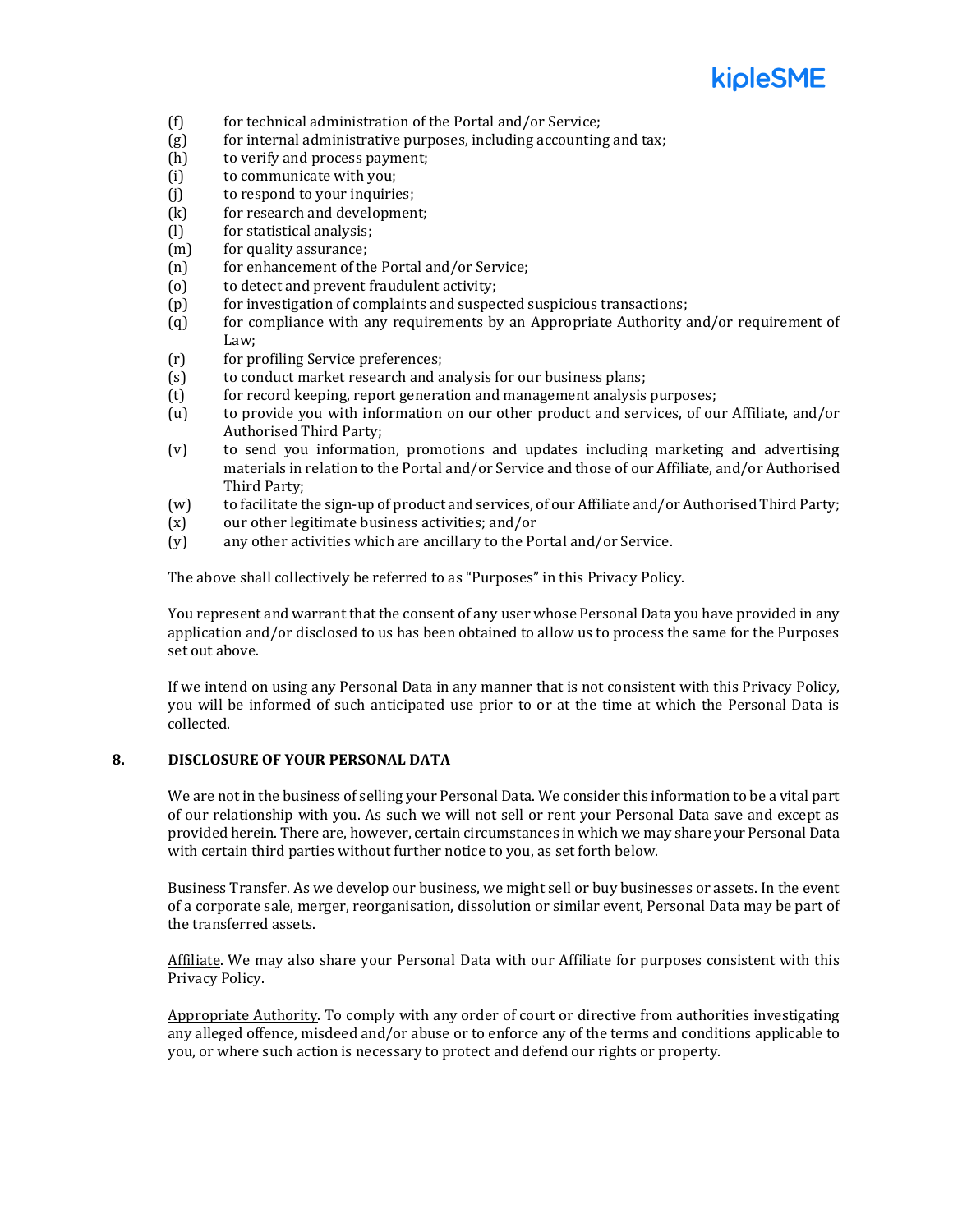# kioleSME

- (f) for technical administration of the Portal and/or Service;
- (g) for internal administrative purposes, including accounting and tax;
- (h) to verify and process payment;
- (i) to communicate with you;
- (j) to respond to your inquiries;
- (k) for research and development;
- (l) for statistical analysis;
- (m) for quality assurance;
- (n) for enhancement of the Portal and/or Service;
- (o) to detect and prevent fraudulent activity;
- (p) for investigation of complaints and suspected suspicious transactions;
- (q) for compliance with any requirements by an Appropriate Authority and/or requirement of Law;
- (r) for profiling Service preferences;
- (s) to conduct market research and analysis for our business plans;
- (t) for record keeping, report generation and management analysis purposes;
- (u) to provide you with information on our other product and services, of our Affiliate, and/or Authorised Third Party;
- (v) to send you information, promotions and updates including marketing and advertising materials in relation to the Portal and/or Service and those of our Affiliate, and/or Authorised Third Party;
- (w) to facilitate the sign-up of product and services, of our Affiliate and/or Authorised Third Party;
- (x) our other legitimate business activities; and/or
- (y) any other activities which are ancillary to the Portal and/or Service.

The above shall collectively be referred to as "Purposes" in this Privacy Policy.

You represent and warrant that the consent of any user whose Personal Data you have provided in any application and/or disclosed to us has been obtained to allow us to process the same for the Purposes set out above.

If we intend on using any Personal Data in any manner that is not consistent with this Privacy Policy, you will be informed of such anticipated use prior to or at the time at which the Personal Data is collected.

#### **8. DISCLOSURE OF YOUR PERSONAL DATA**

We are not in the business of selling your Personal Data. We consider this information to be a vital part of our relationship with you. As such we will not sell or rent your Personal Data save and except as provided herein. There are, however, certain circumstances in which we may share your Personal Data with certain third parties without further notice to you, as set forth below.

Business Transfer. As we develop our business, we might sell or buy businesses or assets. In the event of a corporate sale, merger, reorganisation, dissolution or similar event, Personal Data may be part of the transferred assets.

Affiliate. We may also share your Personal Data with our Affiliate for purposes consistent with this Privacy Policy.

Appropriate Authority. To comply with any order of court or directive from authorities investigating any alleged offence, misdeed and/or abuse or to enforce any of the terms and conditions applicable to you, or where such action is necessary to protect and defend our rights or property.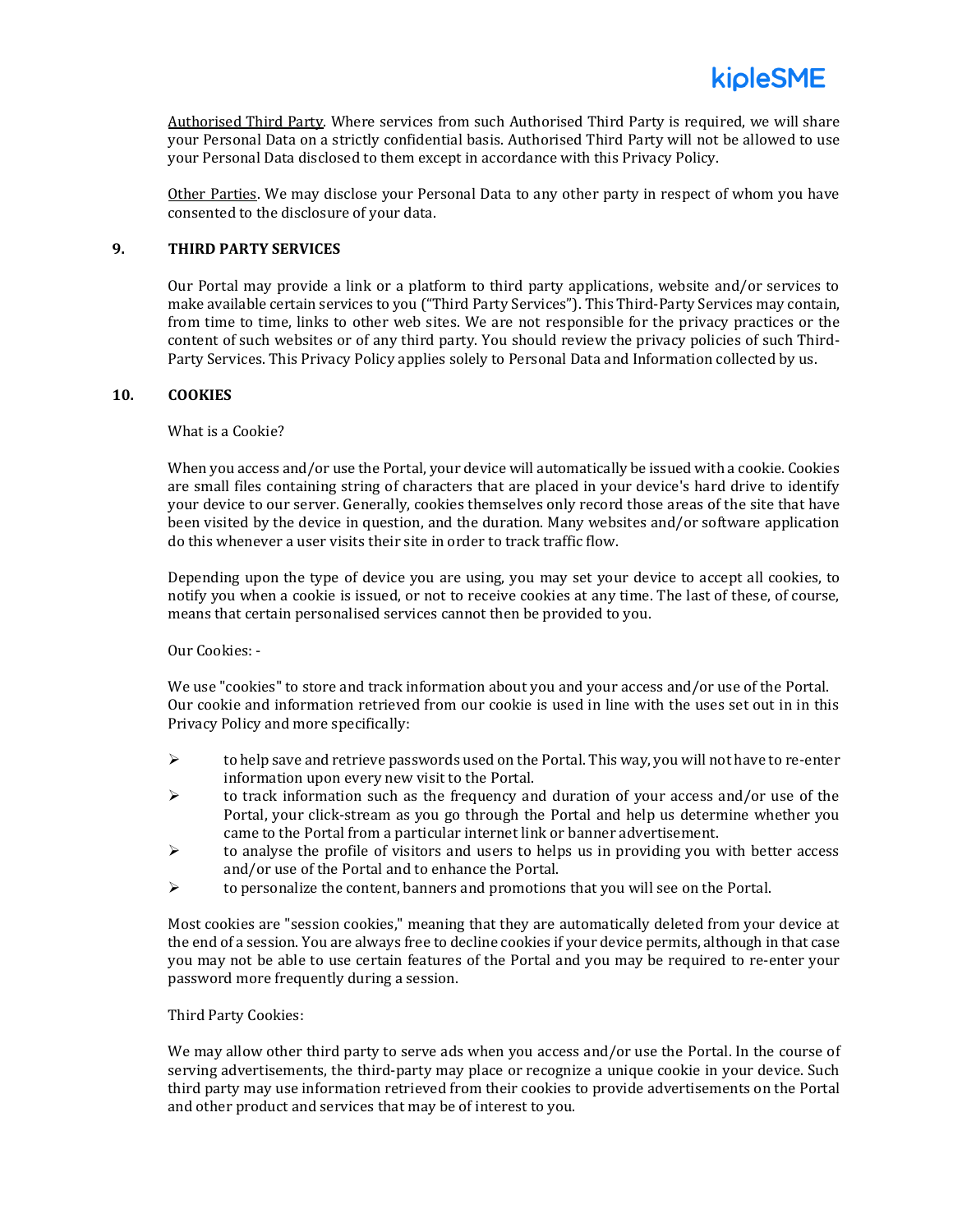

Authorised Third Party. Where services from such Authorised Third Party is required, we will share your Personal Data on a strictly confidential basis. Authorised Third Party will not be allowed to use your Personal Data disclosed to them except in accordance with this Privacy Policy.

Other Parties. We may disclose your Personal Data to any other party in respect of whom you have consented to the disclosure of your data.

# **9. THIRD PARTY SERVICES**

Our Portal may provide a link or a platform to third party applications, website and/or services to make available certain services to you ("Third Party Services"). This Third-Party Services may contain, from time to time, links to other web sites. We are not responsible for the privacy practices or the content of such websites or of any third party. You should review the privacy policies of such Third-Party Services. This Privacy Policy applies solely to Personal Data and Information collected by us.

#### **10. COOKIES**

What is a Cookie?

When you access and/or use the Portal, your device will automatically be issued with a cookie. Cookies are small files containing string of characters that are placed in your device's hard drive to identify your device to our server. Generally, cookies themselves only record those areas of the site that have been visited by the device in question, and the duration. Many websites and/or software application do this whenever a user visits their site in order to track traffic flow.

Depending upon the type of device you are using, you may set your device to accept all cookies, to notify you when a cookie is issued, or not to receive cookies at any time. The last of these, of course, means that certain personalised services cannot then be provided to you.

Our Cookies: -

We use "cookies" to store and track information about you and your access and/or use of the Portal. Our cookie and information retrieved from our cookie is used in line with the uses set out in in this Privacy Policy and more specifically:

- $\triangleright$  to help save and retrieve passwords used on the Portal. This way, you will not have to re-enter information upon every new visit to the Portal.
- $\triangleright$  to track information such as the frequency and duration of your access and/or use of the Portal, your click-stream as you go through the Portal and help us determine whether you came to the Portal from a particular internet link or banner advertisement.
- $\triangleright$  to analyse the profile of visitors and users to helps us in providing you with better access and/or use of the Portal and to enhance the Portal.
- ➢ to personalize the content, banners and promotions that you will see on the Portal.

Most cookies are "session cookies," meaning that they are automatically deleted from your device at the end of a session. You are always free to decline cookies if your device permits, although in that case you may not be able to use certain features of the Portal and you may be required to re-enter your password more frequently during a session.

### Third Party Cookies:

We may allow other third party to serve ads when you access and/or use the Portal. In the course of serving advertisements, the third-party may place or recognize a unique cookie in your device. Such third party may use information retrieved from their cookies to provide advertisements on the Portal and other product and services that may be of interest to you.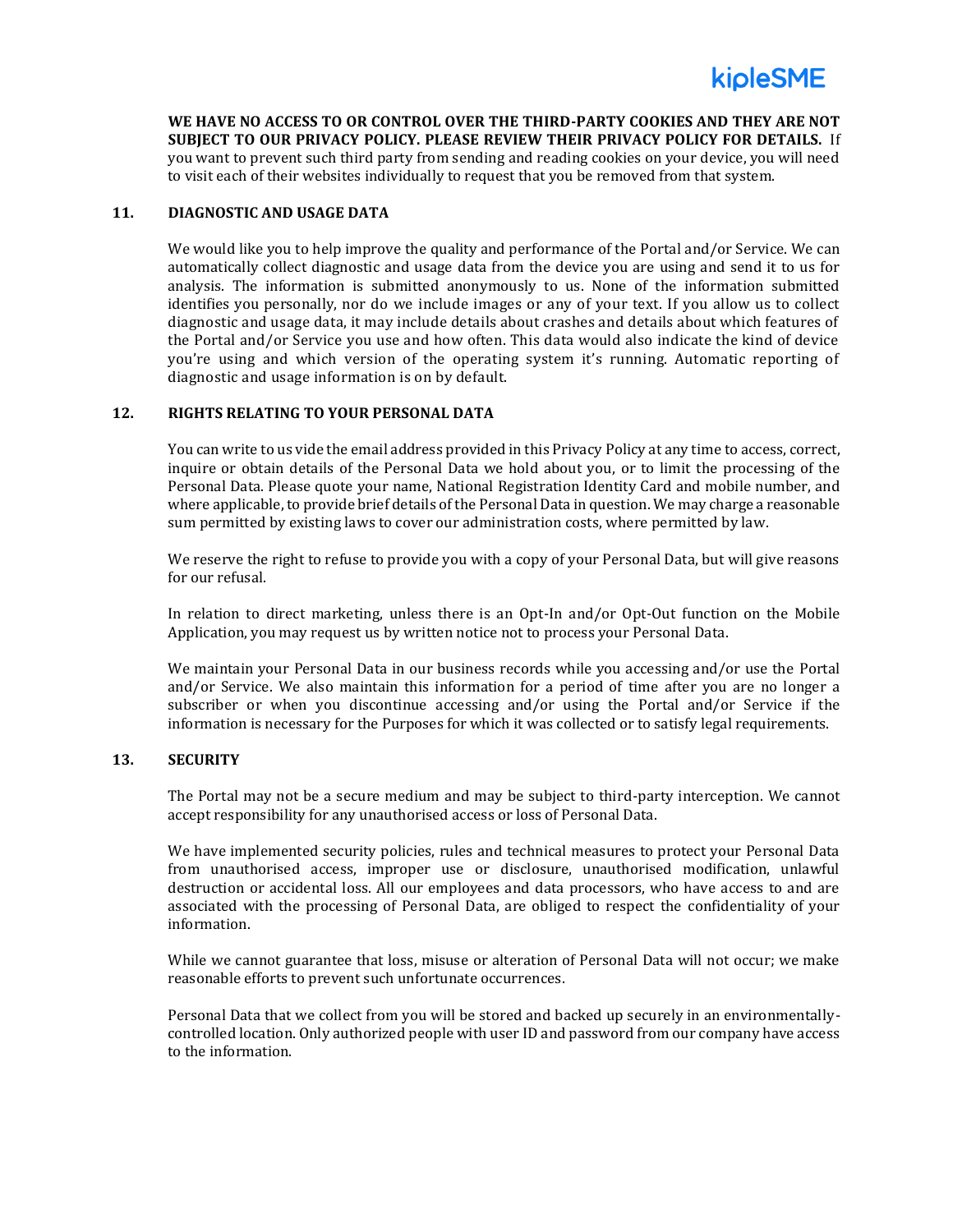

**WE HAVE NO ACCESS TO OR CONTROL OVER THE THIRD-PARTY COOKIES AND THEY ARE NOT SUBJECT TO OUR PRIVACY POLICY. PLEASE REVIEW THEIR PRIVACY POLICY FOR DETAILS.** If you want to prevent such third party from sending and reading cookies on your device, you will need to visit each of their websites individually to request that you be removed from that system.

#### **11. DIAGNOSTIC AND USAGE DATA**

We would like you to help improve the quality and performance of the Portal and/or Service. We can automatically collect diagnostic and usage data from the device you are using and send it to us for analysis. The information is submitted anonymously to us. None of the information submitted identifies you personally, nor do we include images or any of your text. If you allow us to collect diagnostic and usage data, it may include details about crashes and details about which features of the Portal and/or Service you use and how often. This data would also indicate the kind of device you're using and which version of the operating system it's running. Automatic reporting of diagnostic and usage information is on by default.

#### **12. RIGHTS RELATING TO YOUR PERSONAL DATA**

You can write to us vide the email address provided in this Privacy Policy at any time to access, correct, inquire or obtain details of the Personal Data we hold about you, or to limit the processing of the Personal Data. Please quote your name, National Registration Identity Card and mobile number, and where applicable, to provide brief details of the Personal Data in question. We may charge a reasonable sum permitted by existing laws to cover our administration costs, where permitted by law.

We reserve the right to refuse to provide you with a copy of your Personal Data, but will give reasons for our refusal.

In relation to direct marketing, unless there is an Opt-In and/or Opt-Out function on the Mobile Application, you may request us by written notice not to process your Personal Data.

We maintain your Personal Data in our business records while you accessing and/or use the Portal and/or Service. We also maintain this information for a period of time after you are no longer a subscriber or when you discontinue accessing and/or using the Portal and/or Service if the information is necessary for the Purposes for which it was collected or to satisfy legal requirements.

#### **13. SECURITY**

The Portal may not be a secure medium and may be subject to third-party interception. We cannot accept responsibility for any unauthorised access or loss of Personal Data.

We have implemented security policies, rules and technical measures to protect your Personal Data from unauthorised access, improper use or disclosure, unauthorised modification, unlawful destruction or accidental loss. All our employees and data processors, who have access to and are associated with the processing of Personal Data, are obliged to respect the confidentiality of your information.

While we cannot guarantee that loss, misuse or alteration of Personal Data will not occur; we make reasonable efforts to prevent such unfortunate occurrences.

Personal Data that we collect from you will be stored and backed up securely in an environmentallycontrolled location. Only authorized people with user ID and password from our company have access to the information.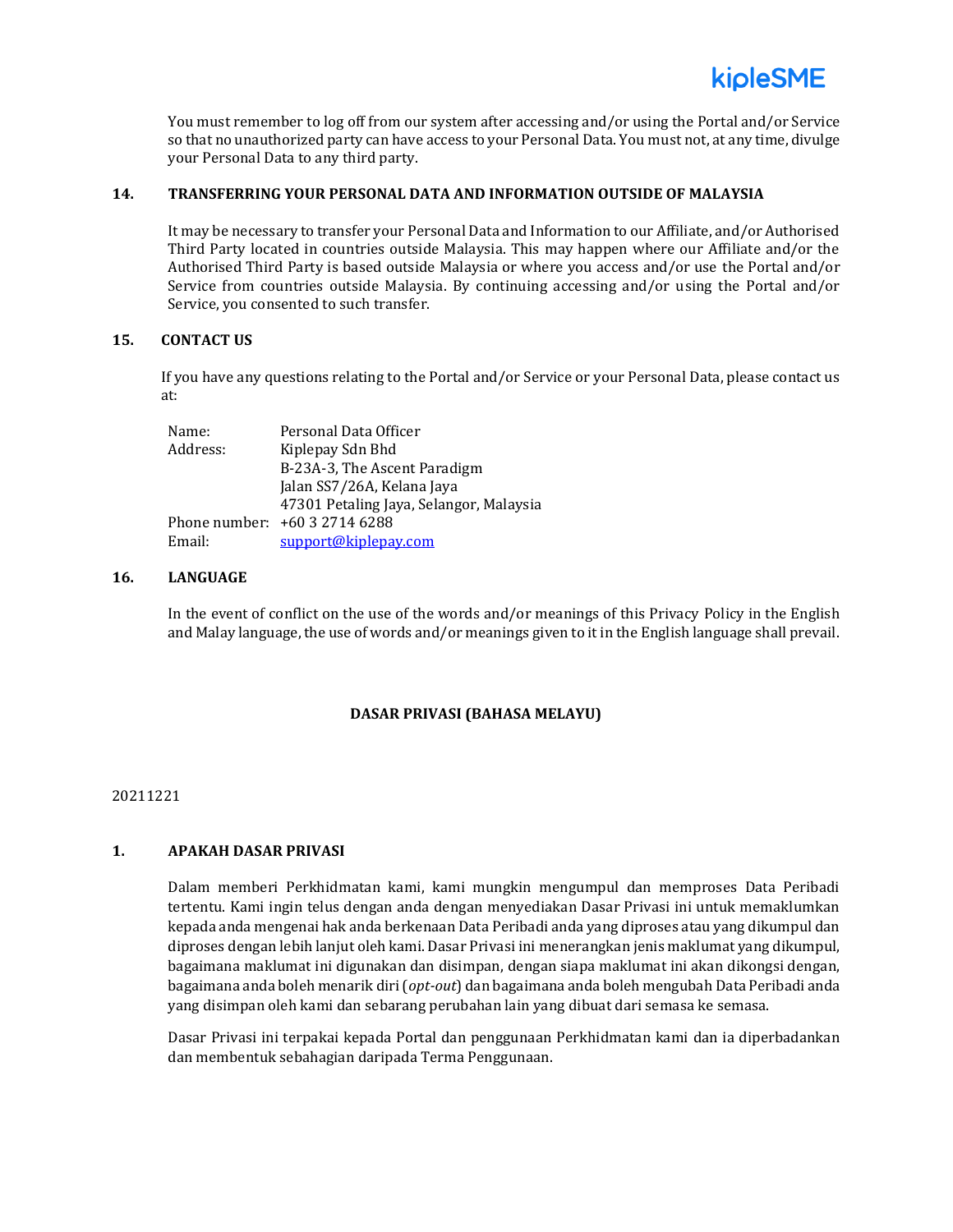You must remember to log off from our system after accessing and/or using the Portal and/or Service so that no unauthorized party can have access to your Personal Data. You must not, at any time, divulge your Personal Data to any third party.

### **14. TRANSFERRING YOUR PERSONAL DATA AND INFORMATION OUTSIDE OF MALAYSIA**

It may be necessary to transfer your Personal Data and Information to our Affiliate, and/or Authorised Third Party located in countries outside Malaysia. This may happen where our Affiliate and/or the Authorised Third Party is based outside Malaysia or where you access and/or use the Portal and/or Service from countries outside Malaysia. By continuing accessing and/or using the Portal and/or Service, you consented to such transfer.

#### **15. CONTACT US**

If you have any questions relating to the Portal and/or Service or your Personal Data, please contact us at:

| Name:    | Personal Data Officer                   |
|----------|-----------------------------------------|
| Address: | Kiplepay Sdn Bhd                        |
|          | B-23A-3, The Ascent Paradigm            |
|          | Jalan SS7/26A, Kelana Jaya              |
|          | 47301 Petaling Jaya, Selangor, Malaysia |
|          | Phone number: +60 3 2714 6288           |
| Email:   | support@kiplepay.com                    |

# **16. LANGUAGE**

In the event of conflict on the use of the words and/or meanings of this Privacy Policy in the English and Malay language, the use of words and/or meanings given to it in the English language shall prevail.

# **DASAR PRIVASI (BAHASA MELAYU)**

#### 20211221

# **1. APAKAH DASAR PRIVASI**

Dalam memberi Perkhidmatan kami, kami mungkin mengumpul dan memproses Data Peribadi tertentu. Kami ingin telus dengan anda dengan menyediakan Dasar Privasi ini untuk memaklumkan kepada anda mengenai hak anda berkenaan Data Peribadi anda yang diproses atau yang dikumpul dan diproses dengan lebih lanjut oleh kami. Dasar Privasi ini menerangkan jenis maklumat yang dikumpul, bagaimana maklumat ini digunakan dan disimpan, dengan siapa maklumat ini akan dikongsi dengan, bagaimana anda boleh menarik diri (*opt-out*) dan bagaimana anda boleh mengubah Data Peribadi anda yang disimpan oleh kami dan sebarang perubahan lain yang dibuat dari semasa ke semasa.

Dasar Privasi ini terpakai kepada Portal dan penggunaan Perkhidmatan kami dan ia diperbadankan dan membentuk sebahagian daripada Terma Penggunaan.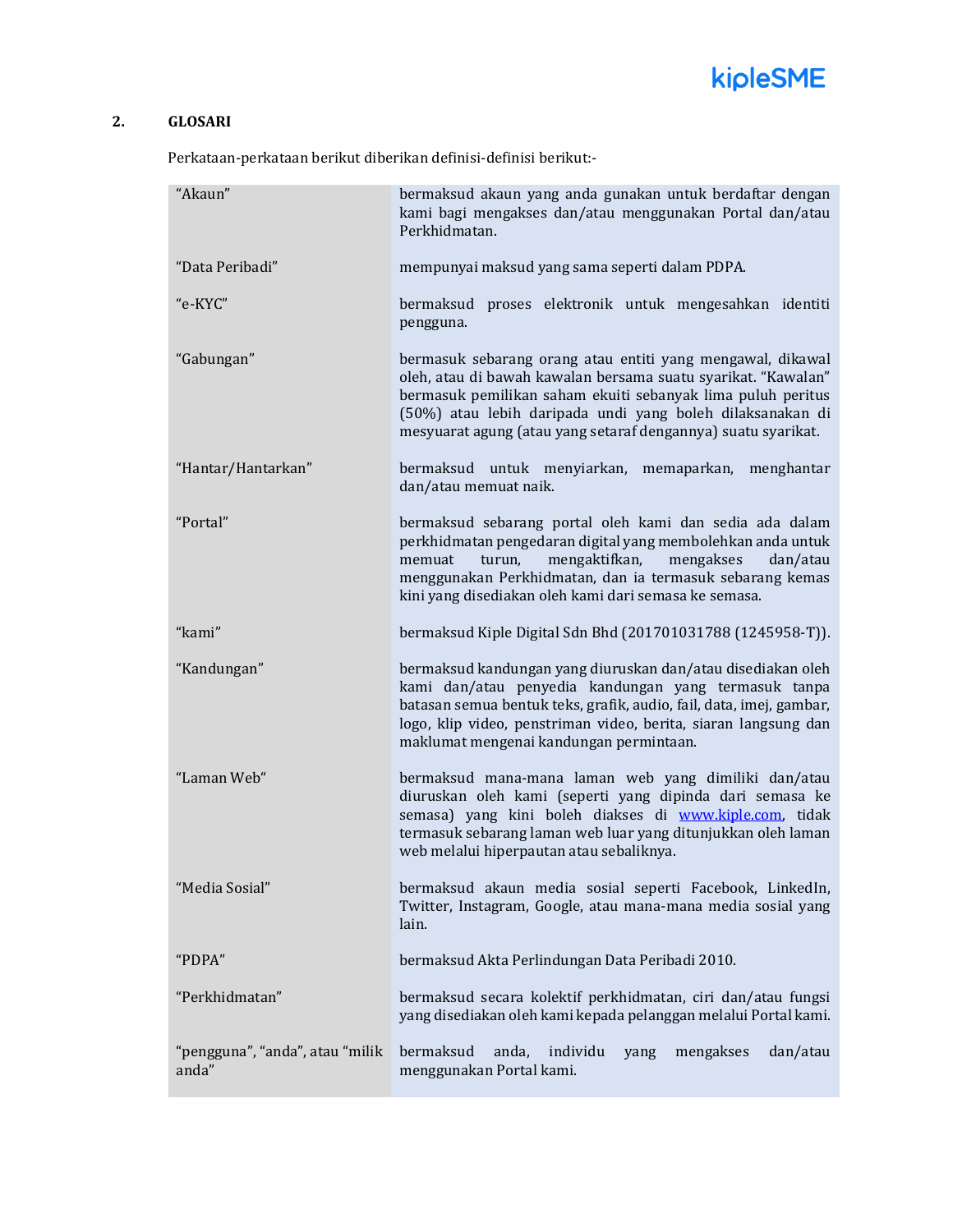

# **2. GLOSARI**

Perkataan-perkataan berikut diberikan definisi-definisi berikut:-

| "Akaun"                                  | bermaksud akaun yang anda gunakan untuk berdaftar dengan<br>kami bagi mengakses dan/atau menggunakan Portal dan/atau<br>Perkhidmatan.                                                                                                                                                                                    |
|------------------------------------------|--------------------------------------------------------------------------------------------------------------------------------------------------------------------------------------------------------------------------------------------------------------------------------------------------------------------------|
|                                          |                                                                                                                                                                                                                                                                                                                          |
| "Data Peribadi"                          | mempunyai maksud yang sama seperti dalam PDPA.                                                                                                                                                                                                                                                                           |
| "e-KYC"                                  | bermaksud proses elektronik untuk mengesahkan identiti<br>pengguna.                                                                                                                                                                                                                                                      |
| "Gabungan"                               | bermasuk sebarang orang atau entiti yang mengawal, dikawal<br>oleh, atau di bawah kawalan bersama suatu syarikat. "Kawalan"<br>bermasuk pemilikan saham ekuiti sebanyak lima puluh peritus<br>(50%) atau lebih daripada undi yang boleh dilaksanakan di<br>mesyuarat agung (atau yang setaraf dengannya) suatu syarikat. |
| "Hantar/Hantarkan"                       | bermaksud untuk menyiarkan, memaparkan, menghantar<br>dan/atau memuat naik.                                                                                                                                                                                                                                              |
| "Portal"                                 | bermaksud sebarang portal oleh kami dan sedia ada dalam<br>perkhidmatan pengedaran digital yang membolehkan anda untuk<br>memuat<br>turun,<br>mengaktifkan,<br>mengakses<br>dan/atau<br>menggunakan Perkhidmatan, dan ia termasuk sebarang kemas<br>kini yang disediakan oleh kami dari semasa ke semasa.                |
| "kami"                                   | bermaksud Kiple Digital Sdn Bhd (201701031788 (1245958-T)).                                                                                                                                                                                                                                                              |
| "Kandungan"                              | bermaksud kandungan yang diuruskan dan/atau disediakan oleh<br>kami dan/atau penyedia kandungan yang termasuk tanpa<br>batasan semua bentuk teks, grafik, audio, fail, data, imej, gambar,<br>logo, klip video, penstriman video, berita, siaran langsung dan<br>maklumat mengenai kandungan permintaan.                 |
| "Laman Web"                              | bermaksud mana-mana laman web yang dimiliki dan/atau<br>diuruskan oleh kami (seperti yang dipinda dari semasa ke<br>semasa) yang kini boleh diakses di www.kiple.com, tidak<br>termasuk sebarang laman web luar yang ditunjukkan oleh laman<br>web melalui hiperpautan atau sebaliknya.                                  |
| "Media Sosial"                           | bermaksud akaun media sosial seperti Facebook, LinkedIn,<br>Twitter, Instagram, Google, atau mana-mana media sosial yang<br>lain.                                                                                                                                                                                        |
| "PDPA"                                   | bermaksud Akta Perlindungan Data Peribadi 2010.                                                                                                                                                                                                                                                                          |
| "Perkhidmatan"                           | bermaksud secara kolektif perkhidmatan, ciri dan/atau fungsi<br>yang disediakan oleh kami kepada pelanggan melalui Portal kami.                                                                                                                                                                                          |
| "pengguna", "anda", atau "milik<br>anda" | bermaksud<br>individu<br>anda,<br>mengakses<br>dan/atau<br>yang<br>menggunakan Portal kami.                                                                                                                                                                                                                              |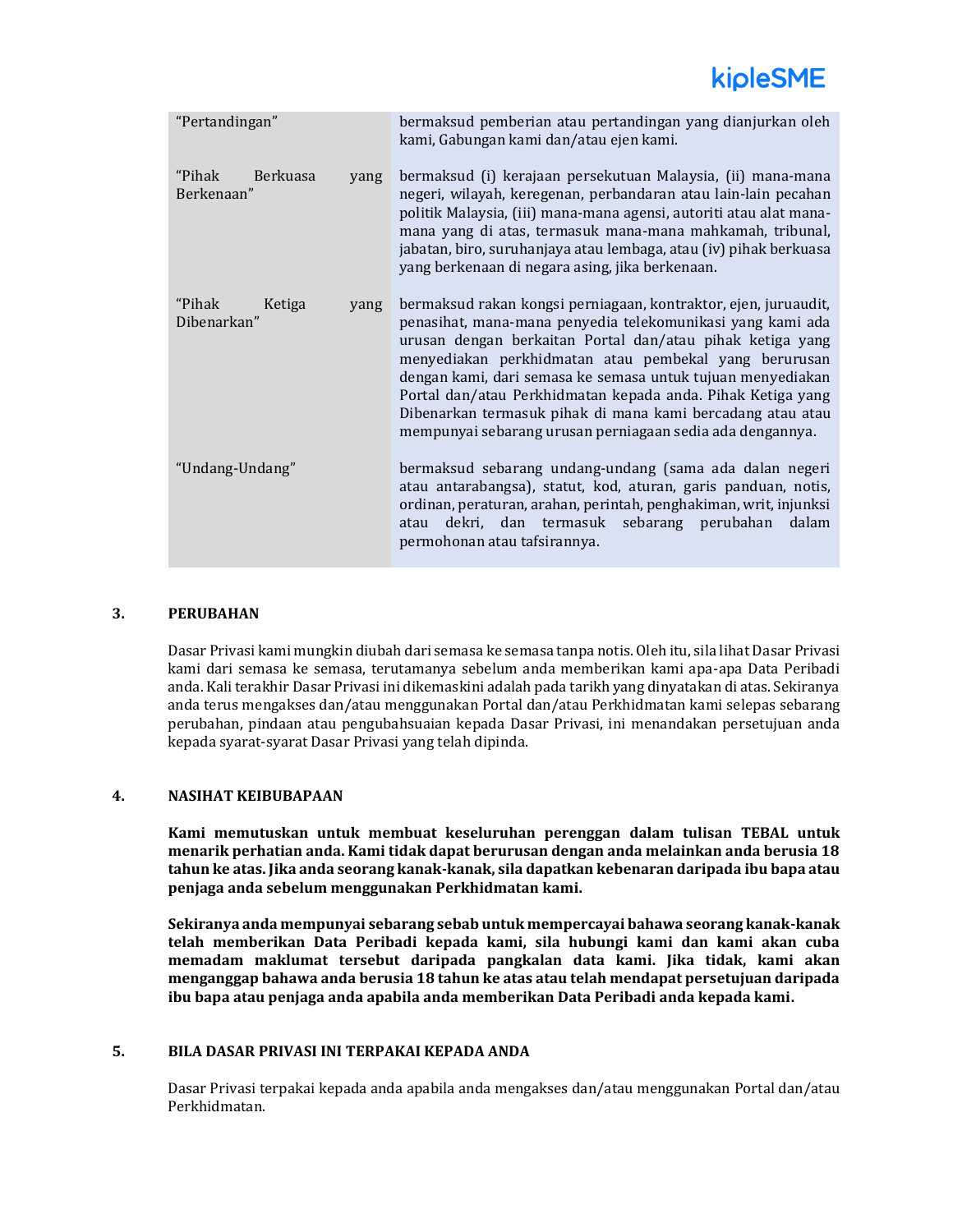# kipleSME

| "Pertandingan"                           |      | bermaksud pemberian atau pertandingan yang dianjurkan oleh<br>kami, Gabungan kami dan/atau ejen kami.                                                                                                                                                                                                                                                                                                                                                                                                        |
|------------------------------------------|------|--------------------------------------------------------------------------------------------------------------------------------------------------------------------------------------------------------------------------------------------------------------------------------------------------------------------------------------------------------------------------------------------------------------------------------------------------------------------------------------------------------------|
| "Pihak"<br><b>Berkuasa</b><br>Berkenaan" | yang | bermaksud (i) kerajaan persekutuan Malaysia, (ii) mana-mana<br>negeri, wilayah, keregenan, perbandaran atau lain-lain pecahan<br>politik Malaysia, (iii) mana-mana agensi, autoriti atau alat mana-<br>mana yang di atas, termasuk mana-mana mahkamah, tribunal,<br>jabatan, biro, suruhanjaya atau lembaga, atau (iv) pihak berkuasa<br>yang berkenaan di negara asing, jika berkenaan.                                                                                                                     |
| "Pihak"<br>Ketiga<br>Dibenarkan"         | yang | bermaksud rakan kongsi perniagaan, kontraktor, ejen, juruaudit,<br>penasihat, mana-mana penyedia telekomunikasi yang kami ada<br>urusan dengan berkaitan Portal dan/atau pihak ketiga yang<br>menyediakan perkhidmatan atau pembekal yang berurusan<br>dengan kami, dari semasa ke semasa untuk tujuan menyediakan<br>Portal dan/atau Perkhidmatan kepada anda. Pihak Ketiga yang<br>Dibenarkan termasuk pihak di mana kami bercadang atau atau<br>mempunyai sebarang urusan perniagaan sedia ada dengannya. |
| "Undang-Undang"                          |      | bermaksud sebarang undang-undang (sama ada dalan negeri<br>atau antarabangsa), statut, kod, aturan, garis panduan, notis,<br>ordinan, peraturan, arahan, perintah, penghakiman, writ, injunksi<br>dekri, dan termasuk sebarang perubahan<br>dalam<br>atau<br>permohonan atau tafsirannya.                                                                                                                                                                                                                    |

# **3. PERUBAHAN**

Dasar Privasi kami mungkin diubah dari semasa ke semasa tanpa notis. Oleh itu, sila lihat Dasar Privasi kami dari semasa ke semasa, terutamanya sebelum anda memberikan kami apa-apa Data Peribadi anda. Kali terakhir Dasar Privasi ini dikemaskini adalah pada tarikh yang dinyatakan di atas. Sekiranya anda terus mengakses dan/atau menggunakan Portal dan/atau Perkhidmatan kami selepas sebarang perubahan, pindaan atau pengubahsuaian kepada Dasar Privasi, ini menandakan persetujuan anda kepada syarat-syarat Dasar Privasi yang telah dipinda.

# **4. NASIHAT KEIBUBAPAAN**

**Kami memutuskan untuk membuat keseluruhan perenggan dalam tulisan TEBAL untuk menarik perhatian anda. Kami tidak dapat berurusan dengan anda melainkan anda berusia 18 tahun ke atas. Jika anda seorang kanak-kanak, sila dapatkan kebenaran daripada ibu bapa atau penjaga anda sebelum menggunakan Perkhidmatan kami.**

**Sekiranya anda mempunyai sebarang sebab untuk mempercayai bahawa seorang kanak-kanak telah memberikan Data Peribadi kepada kami, sila hubungi kami dan kami akan cuba memadam maklumat tersebut daripada pangkalan data kami. Jika tidak, kami akan menganggap bahawa anda berusia 18 tahun ke atas atau telah mendapat persetujuan daripada ibu bapa atau penjaga anda apabila anda memberikan Data Peribadi anda kepada kami.** 

# **5. BILA DASAR PRIVASI INI TERPAKAI KEPADA ANDA**

Dasar Privasi terpakai kepada anda apabila anda mengakses dan/atau menggunakan Portal dan/atau Perkhidmatan.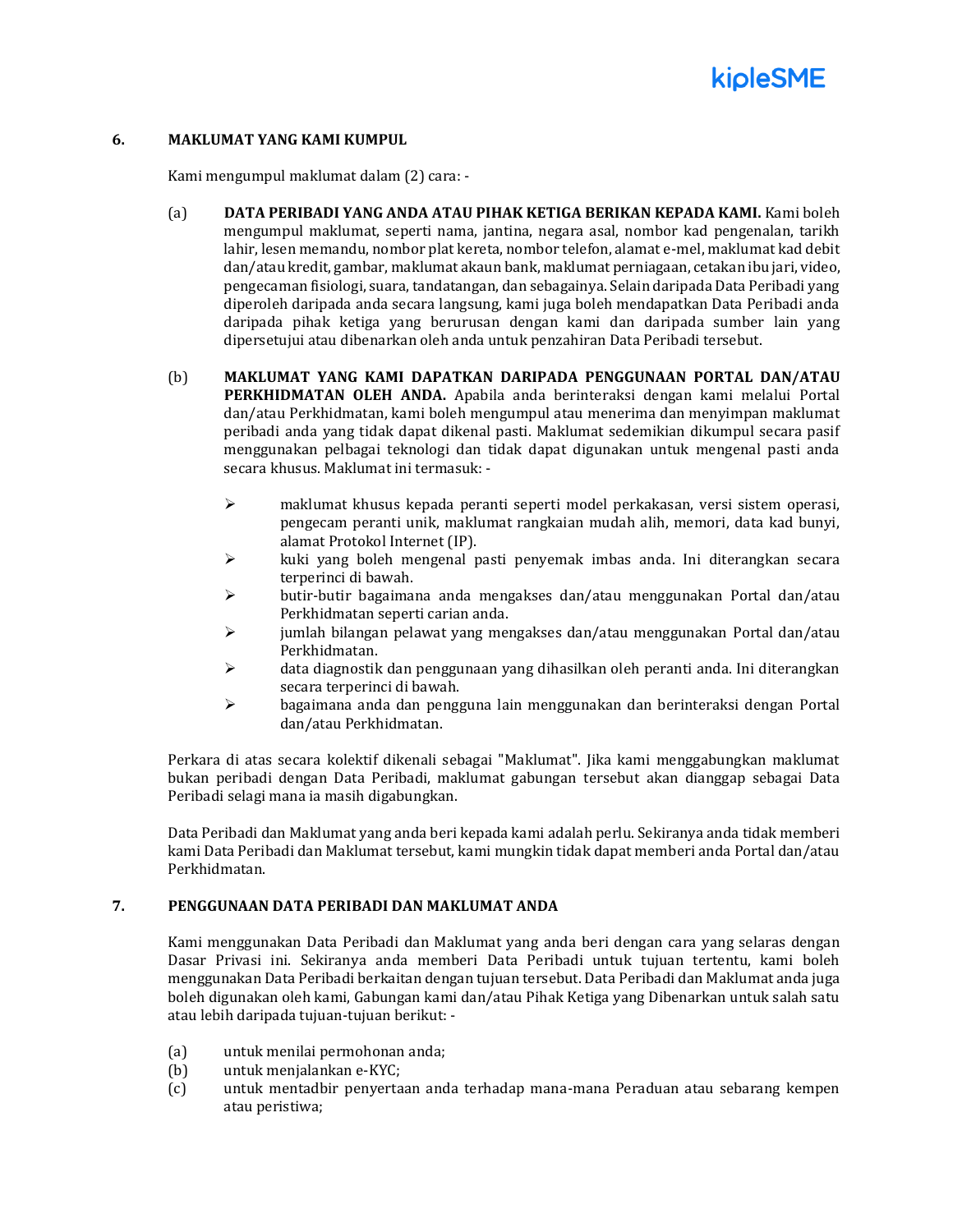

#### **6. MAKLUMAT YANG KAMI KUMPUL**

Kami mengumpul maklumat dalam (2) cara: -

- (a) **DATA PERIBADI YANG ANDA ATAU PIHAK KETIGA BERIKAN KEPADA KAMI.** Kami boleh mengumpul maklumat, seperti nama, jantina, negara asal, nombor kad pengenalan, tarikh lahir, lesen memandu, nombor plat kereta, nombor telefon, alamat e-mel, maklumat kad debit dan/atau kredit, gambar, maklumat akaun bank, maklumat perniagaan, cetakan ibu jari, video, pengecaman fisiologi, suara, tandatangan, dan sebagainya. Selain daripada Data Peribadi yang diperoleh daripada anda secara langsung, kami juga boleh mendapatkan Data Peribadi anda daripada pihak ketiga yang berurusan dengan kami dan daripada sumber lain yang dipersetujui atau dibenarkan oleh anda untuk penzahiran Data Peribadi tersebut.
- (b) **MAKLUMAT YANG KAMI DAPATKAN DARIPADA PENGGUNAAN PORTAL DAN/ATAU PERKHIDMATAN OLEH ANDA.** Apabila anda berinteraksi dengan kami melalui Portal dan/atau Perkhidmatan, kami boleh mengumpul atau menerima dan menyimpan maklumat peribadi anda yang tidak dapat dikenal pasti. Maklumat sedemikian dikumpul secara pasif menggunakan pelbagai teknologi dan tidak dapat digunakan untuk mengenal pasti anda secara khusus. Maklumat ini termasuk: -
	- $\triangleright$  maklumat khusus kepada peranti seperti model perkakasan, versi sistem operasi, pengecam peranti unik, maklumat rangkaian mudah alih, memori, data kad bunyi, alamat Protokol Internet (IP).
	- $\triangleright$  kuki yang boleh mengenal pasti penyemak imbas anda. Ini diterangkan secara terperinci di bawah.
	- $\triangleright$  butir-butir bagaimana anda mengakses dan/atau menggunakan Portal dan/atau Perkhidmatan seperti carian anda.
	- $\geq$  jumlah bilangan pelawat yang mengakses dan/atau menggunakan Portal dan/atau Perkhidmatan.
	- $\triangleright$  data diagnostik dan penggunaan yang dihasilkan oleh peranti anda. Ini diterangkan secara terperinci di bawah.
	- ➢ bagaimana anda dan pengguna lain menggunakan dan berinteraksi dengan Portal dan/atau Perkhidmatan.

Perkara di atas secara kolektif dikenali sebagai "Maklumat". Jika kami menggabungkan maklumat bukan peribadi dengan Data Peribadi, maklumat gabungan tersebut akan dianggap sebagai Data Peribadi selagi mana ia masih digabungkan.

Data Peribadi dan Maklumat yang anda beri kepada kami adalah perlu. Sekiranya anda tidak memberi kami Data Peribadi dan Maklumat tersebut, kami mungkin tidak dapat memberi anda Portal dan/atau Perkhidmatan.

# **7. PENGGUNAAN DATA PERIBADI DAN MAKLUMAT ANDA**

Kami menggunakan Data Peribadi dan Maklumat yang anda beri dengan cara yang selaras dengan Dasar Privasi ini. Sekiranya anda memberi Data Peribadi untuk tujuan tertentu, kami boleh menggunakan Data Peribadi berkaitan dengan tujuan tersebut. Data Peribadi dan Maklumat anda juga boleh digunakan oleh kami, Gabungan kami dan/atau Pihak Ketiga yang Dibenarkan untuk salah satu atau lebih daripada tujuan-tujuan berikut: -

- (a) untuk menilai permohonan anda;
- (b) untuk menjalankan e-KYC;
- (c) untuk mentadbir penyertaan anda terhadap mana-mana Peraduan atau sebarang kempen atau peristiwa;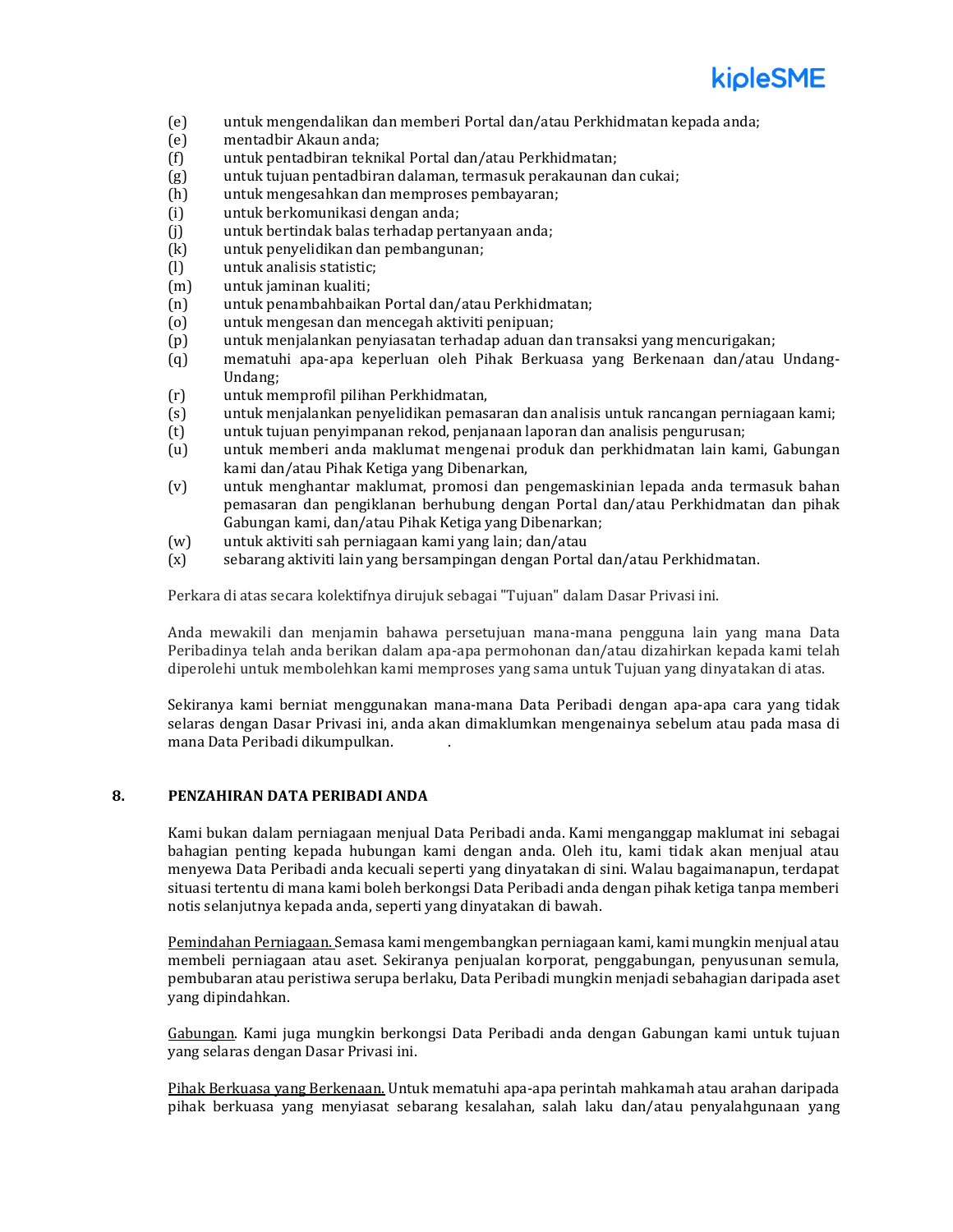

- (e) untuk mengendalikan dan memberi Portal dan/atau Perkhidmatan kepada anda;
- (e) mentadbir Akaun anda;
- (f) untuk pentadbiran teknikal Portal dan/atau Perkhidmatan;
- (g) untuk tujuan pentadbiran dalaman, termasuk perakaunan dan cukai;
- (h) untuk mengesahkan dan memproses pembayaran;
- (i) untuk berkomunikasi dengan anda;
- (j) untuk bertindak balas terhadap pertanyaan anda;
- (k) untuk penyelidikan dan pembangunan;
- (l) untuk analisis statistic;
- (m) untuk jaminan kualiti;
- (n) untuk penambahbaikan Portal dan/atau Perkhidmatan;
- (o) untuk mengesan dan mencegah aktiviti penipuan;
- (p) untuk menjalankan penyiasatan terhadap aduan dan transaksi yang mencurigakan;
- (q) mematuhi apa-apa keperluan oleh Pihak Berkuasa yang Berkenaan dan/atau Undang-Undang;
- (r) untuk memprofil pilihan Perkhidmatan,
- (s) untuk menjalankan penyelidikan pemasaran dan analisis untuk rancangan perniagaan kami;
- (t) untuk tujuan penyimpanan rekod, penjanaan laporan dan analisis pengurusan;
- (u) untuk memberi anda maklumat mengenai produk dan perkhidmatan lain kami, Gabungan kami dan/atau Pihak Ketiga yang Dibenarkan,
- (v) untuk menghantar maklumat, promosi dan pengemaskinian lepada anda termasuk bahan pemasaran dan pengiklanan berhubung dengan Portal dan/atau Perkhidmatan dan pihak Gabungan kami, dan/atau Pihak Ketiga yang Dibenarkan;
- (w) untuk aktiviti sah perniagaan kami yang lain; dan/atau
- (x) sebarang aktiviti lain yang bersampingan dengan Portal dan/atau Perkhidmatan.

Perkara di atas secara kolektifnya dirujuk sebagai "Tujuan" dalam Dasar Privasi ini.

Anda mewakili dan menjamin bahawa persetujuan mana-mana pengguna lain yang mana Data Peribadinya telah anda berikan dalam apa-apa permohonan dan/atau dizahirkan kepada kami telah diperolehi untuk membolehkan kami memproses yang sama untuk Tujuan yang dinyatakan di atas.

Sekiranya kami berniat menggunakan mana-mana Data Peribadi dengan apa-apa cara yang tidak selaras dengan Dasar Privasi ini, anda akan dimaklumkan mengenainya sebelum atau pada masa di mana Data Peribadi dikumpulkan. .

# **8. PENZAHIRAN DATA PERIBADI ANDA**

Kami bukan dalam perniagaan menjual Data Peribadi anda. Kami menganggap maklumat ini sebagai bahagian penting kepada hubungan kami dengan anda. Oleh itu, kami tidak akan menjual atau menyewa Data Peribadi anda kecuali seperti yang dinyatakan di sini. Walau bagaimanapun, terdapat situasi tertentu di mana kami boleh berkongsi Data Peribadi anda dengan pihak ketiga tanpa memberi notis selanjutnya kepada anda, seperti yang dinyatakan di bawah.

Pemindahan Perniagaan. Semasa kami mengembangkan perniagaan kami, kami mungkin menjual atau membeli perniagaan atau aset. Sekiranya penjualan korporat, penggabungan, penyusunan semula, pembubaran atau peristiwa serupa berlaku, Data Peribadi mungkin menjadi sebahagian daripada aset yang dipindahkan.

Gabungan. Kami juga mungkin berkongsi Data Peribadi anda dengan Gabungan kami untuk tujuan yang selaras dengan Dasar Privasi ini.

Pihak Berkuasa yang Berkenaan. Untuk mematuhi apa-apa perintah mahkamah atau arahan daripada pihak berkuasa yang menyiasat sebarang kesalahan, salah laku dan/atau penyalahgunaan yang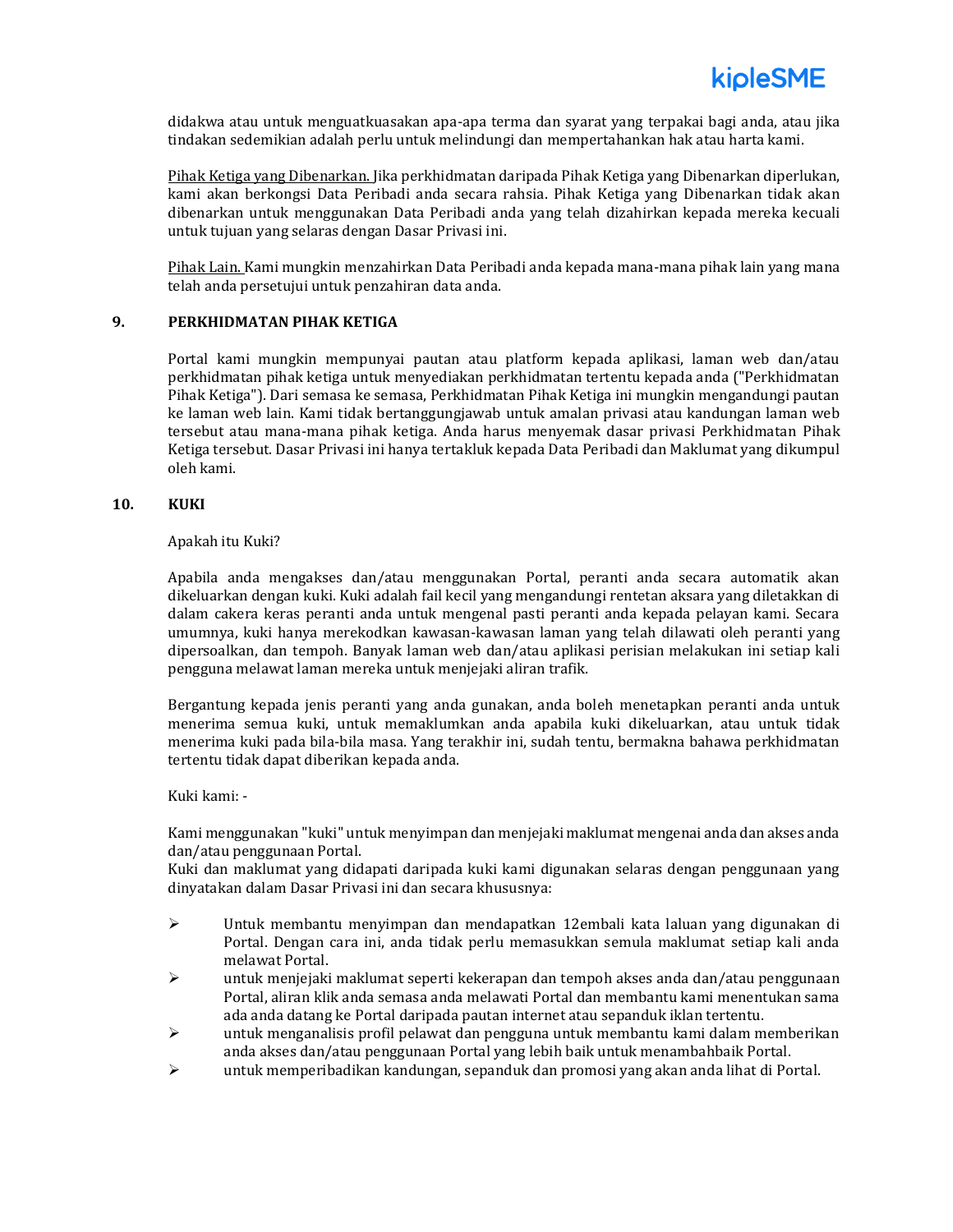didakwa atau untuk menguatkuasakan apa-apa terma dan syarat yang terpakai bagi anda, atau jika tindakan sedemikian adalah perlu untuk melindungi dan mempertahankan hak atau harta kami.

Pihak Ketiga yang Dibenarkan. Jika perkhidmatan daripada Pihak Ketiga yang Dibenarkan diperlukan, kami akan berkongsi Data Peribadi anda secara rahsia. Pihak Ketiga yang Dibenarkan tidak akan dibenarkan untuk menggunakan Data Peribadi anda yang telah dizahirkan kepada mereka kecuali untuk tujuan yang selaras dengan Dasar Privasi ini.

Pihak Lain. Kami mungkin menzahirkan Data Peribadi anda kepada mana-mana pihak lain yang mana telah anda persetujui untuk penzahiran data anda.

#### **9. PERKHIDMATAN PIHAK KETIGA**

Portal kami mungkin mempunyai pautan atau platform kepada aplikasi, laman web dan/atau perkhidmatan pihak ketiga untuk menyediakan perkhidmatan tertentu kepada anda ("Perkhidmatan Pihak Ketiga"). Dari semasa ke semasa, Perkhidmatan Pihak Ketiga ini mungkin mengandungi pautan ke laman web lain. Kami tidak bertanggungjawab untuk amalan privasi atau kandungan laman web tersebut atau mana-mana pihak ketiga. Anda harus menyemak dasar privasi Perkhidmatan Pihak Ketiga tersebut. Dasar Privasi ini hanya tertakluk kepada Data Peribadi dan Maklumat yang dikumpul oleh kami.

### **10. KUKI**

#### Apakah itu Kuki?

Apabila anda mengakses dan/atau menggunakan Portal, peranti anda secara automatik akan dikeluarkan dengan kuki. Kuki adalah fail kecil yang mengandungi rentetan aksara yang diletakkan di dalam cakera keras peranti anda untuk mengenal pasti peranti anda kepada pelayan kami. Secara umumnya, kuki hanya merekodkan kawasan-kawasan laman yang telah dilawati oleh peranti yang dipersoalkan, dan tempoh. Banyak laman web dan/atau aplikasi perisian melakukan ini setiap kali pengguna melawat laman mereka untuk menjejaki aliran trafik.

Bergantung kepada jenis peranti yang anda gunakan, anda boleh menetapkan peranti anda untuk menerima semua kuki, untuk memaklumkan anda apabila kuki dikeluarkan, atau untuk tidak menerima kuki pada bila-bila masa. Yang terakhir ini, sudah tentu, bermakna bahawa perkhidmatan tertentu tidak dapat diberikan kepada anda.

#### Kuki kami: -

Kami menggunakan "kuki" untuk menyimpan dan menjejaki maklumat mengenai anda dan akses anda dan/atau penggunaan Portal.

Kuki dan maklumat yang didapati daripada kuki kami digunakan selaras dengan penggunaan yang dinyatakan dalam Dasar Privasi ini dan secara khususnya:

- ➢ Untuk membantu menyimpan dan mendapatkan 12embali kata laluan yang digunakan di Portal. Dengan cara ini, anda tidak perlu memasukkan semula maklumat setiap kali anda melawat Portal.
- $\triangleright$  untuk menjejaki maklumat seperti kekerapan dan tempoh akses anda dan/atau penggunaan Portal, aliran klik anda semasa anda melawati Portal dan membantu kami menentukan sama ada anda datang ke Portal daripada pautan internet atau sepanduk iklan tertentu.
- $\triangleright$  untuk menganalisis profil pelawat dan pengguna untuk membantu kami dalam memberikan anda akses dan/atau penggunaan Portal yang lebih baik untuk menambahbaik Portal.
- ➢ untuk memperibadikan kandungan, sepanduk dan promosi yang akan anda lihat di Portal.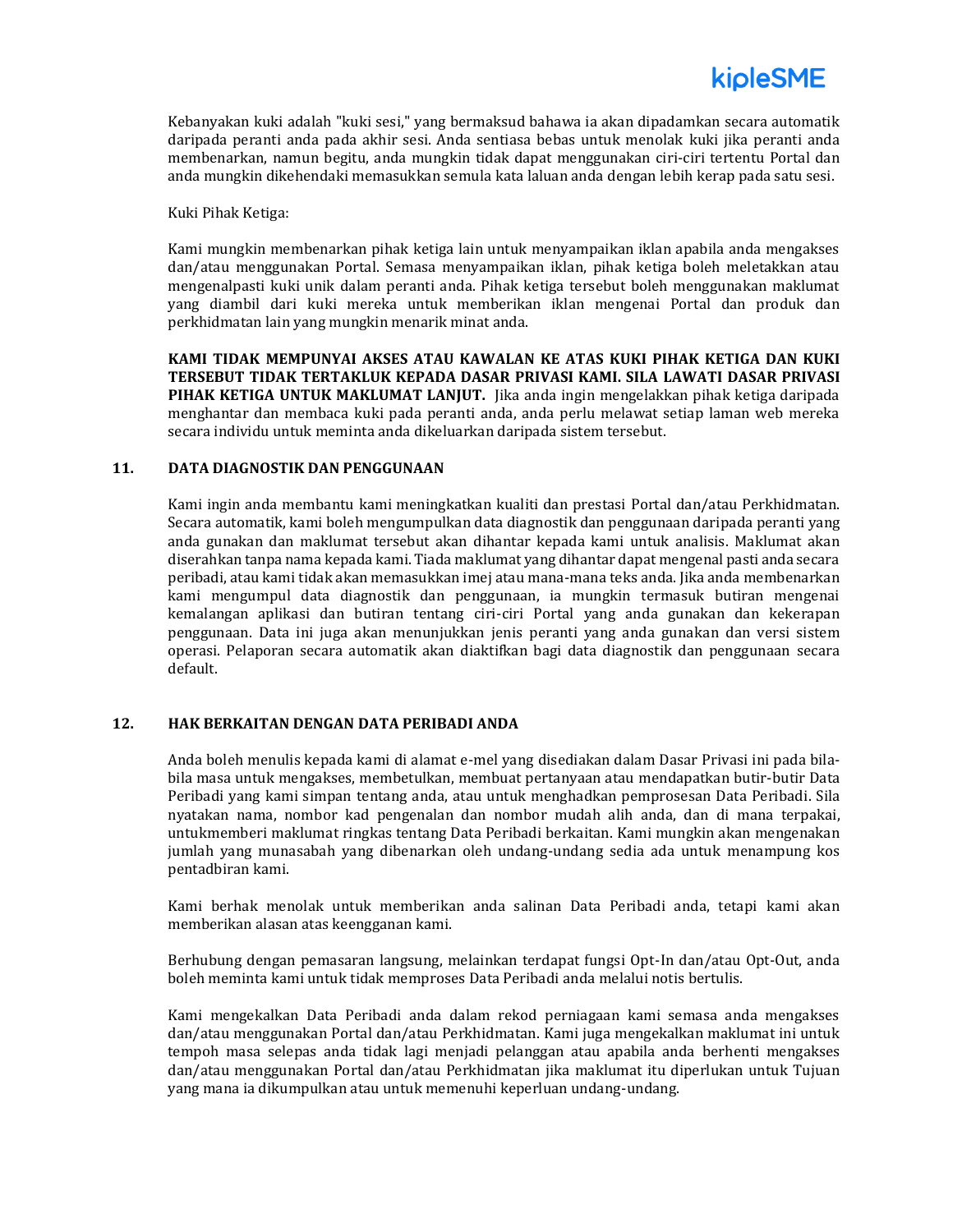

Kebanyakan kuki adalah "kuki sesi," yang bermaksud bahawa ia akan dipadamkan secara automatik daripada peranti anda pada akhir sesi. Anda sentiasa bebas untuk menolak kuki jika peranti anda membenarkan, namun begitu, anda mungkin tidak dapat menggunakan ciri-ciri tertentu Portal dan anda mungkin dikehendaki memasukkan semula kata laluan anda dengan lebih kerap pada satu sesi.

Kuki Pihak Ketiga:

Kami mungkin membenarkan pihak ketiga lain untuk menyampaikan iklan apabila anda mengakses dan/atau menggunakan Portal. Semasa menyampaikan iklan, pihak ketiga boleh meletakkan atau mengenalpasti kuki unik dalam peranti anda. Pihak ketiga tersebut boleh menggunakan maklumat yang diambil dari kuki mereka untuk memberikan iklan mengenai Portal dan produk dan perkhidmatan lain yang mungkin menarik minat anda.

**KAMI TIDAK MEMPUNYAI AKSES ATAU KAWALAN KE ATAS KUKI PIHAK KETIGA DAN KUKI TERSEBUT TIDAK TERTAKLUK KEPADA DASAR PRIVASI KAMI. SILA LAWATI DASAR PRIVASI PIHAK KETIGA UNTUK MAKLUMAT LANJUT.** Jika anda ingin mengelakkan pihak ketiga daripada menghantar dan membaca kuki pada peranti anda, anda perlu melawat setiap laman web mereka secara individu untuk meminta anda dikeluarkan daripada sistem tersebut.

#### **11. DATA DIAGNOSTIK DAN PENGGUNAAN**

Kami ingin anda membantu kami meningkatkan kualiti dan prestasi Portal dan/atau Perkhidmatan. Secara automatik, kami boleh mengumpulkan data diagnostik dan penggunaan daripada peranti yang anda gunakan dan maklumat tersebut akan dihantar kepada kami untuk analisis. Maklumat akan diserahkan tanpa nama kepada kami. Tiada maklumat yang dihantar dapat mengenal pasti anda secara peribadi, atau kami tidak akan memasukkan imej atau mana-mana teks anda. Jika anda membenarkan kami mengumpul data diagnostik dan penggunaan, ia mungkin termasuk butiran mengenai kemalangan aplikasi dan butiran tentang ciri-ciri Portal yang anda gunakan dan kekerapan penggunaan. Data ini juga akan menunjukkan jenis peranti yang anda gunakan dan versi sistem operasi. Pelaporan secara automatik akan diaktifkan bagi data diagnostik dan penggunaan secara default.

#### **12. HAK BERKAITAN DENGAN DATA PERIBADI ANDA**

Anda boleh menulis kepada kami di alamat e-mel yang disediakan dalam Dasar Privasi ini pada bilabila masa untuk mengakses, membetulkan, membuat pertanyaan atau mendapatkan butir-butir Data Peribadi yang kami simpan tentang anda, atau untuk menghadkan pemprosesan Data Peribadi. Sila nyatakan nama, nombor kad pengenalan dan nombor mudah alih anda, dan di mana terpakai, untukmemberi maklumat ringkas tentang Data Peribadi berkaitan. Kami mungkin akan mengenakan jumlah yang munasabah yang dibenarkan oleh undang-undang sedia ada untuk menampung kos pentadbiran kami.

Kami berhak menolak untuk memberikan anda salinan Data Peribadi anda, tetapi kami akan memberikan alasan atas keengganan kami.

Berhubung dengan pemasaran langsung, melainkan terdapat fungsi Opt-In dan/atau Opt-Out, anda boleh meminta kami untuk tidak memproses Data Peribadi anda melalui notis bertulis.

Kami mengekalkan Data Peribadi anda dalam rekod perniagaan kami semasa anda mengakses dan/atau menggunakan Portal dan/atau Perkhidmatan. Kami juga mengekalkan maklumat ini untuk tempoh masa selepas anda tidak lagi menjadi pelanggan atau apabila anda berhenti mengakses dan/atau menggunakan Portal dan/atau Perkhidmatan jika maklumat itu diperlukan untuk Tujuan yang mana ia dikumpulkan atau untuk memenuhi keperluan undang-undang.